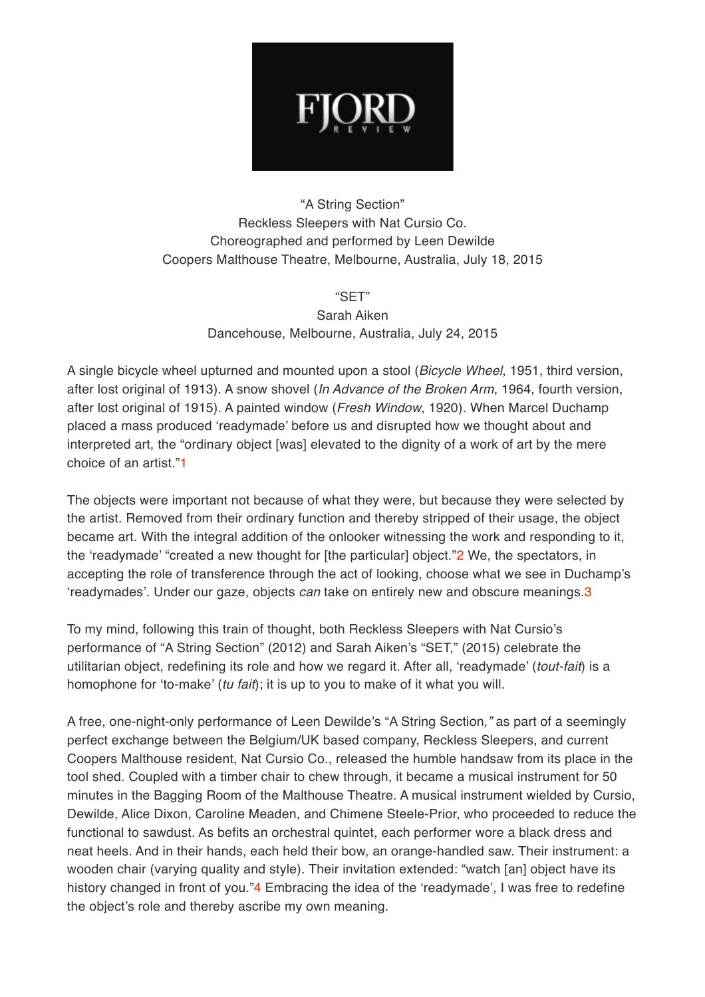

## "A String Section" Reckless Sleepers with Nat Cursio Co. Choreographed and performed by Leen Dewilde Coopers Malthouse Theatre, Melbourne, Australia, July 18, 2015

"SET"

Sarah Aiken Dancehouse, Melbourne, Australia, July 24, 2015

A single bicycle wheel upturned and mounted upon a stool (*Bicycle Wheel*, 1951, third version, after lost original of 1913). A snow shovel (*In Advance of the Broken Arm*, 1964, fourth version, after lost original of 1915). A painted window (*Fresh Window*, 1920). When Marcel Duchamp placed a mass produced 'readymade' before us and disrupted how we thought about and interpreted art, the "ordinary object [was] elevated to the dignity of a work of art by the mere choice of an artist."1

The objects were important not because of what they were, but because they were selected by the artist. Removed from their ordinary function and thereby stripped of their usage, the object became art. With the integral addition of the onlooker witnessing the work and responding to it, the 'readymade' "created a new thought for [the particular] object."2 We, the spectators, in accepting the role of transference through the act of looking, choose what we see in Duchamp's 'readymades'. Under our gaze, objects *can* take on entirely new and obscure meanings.3

To my mind, following this train of thought, both Reckless Sleepers with Nat Cursio's performance of "A String Section" (2012) and Sarah Aiken's "SET," (2015) celebrate the utilitarian object, redefining its role and how we regard it. After all, 'readymade' (*tout-fait*) is a homophone for 'to-make' (*tu fait*); it is up to you to make of it what you will.

A free, one-night-only performance of Leen Dewilde's "A String Section*,"* as part of a seemingly perfect exchange between the Belgium/UK based company, Reckless Sleepers, and current Coopers Malthouse resident, Nat Cursio Co., released the humble handsaw from its place in the tool shed. Coupled with a timber chair to chew through, it became a musical instrument for 50 minutes in the Bagging Room of the Malthouse Theatre. A musical instrument wielded by Cursio, Dewilde, Alice Dixon, Caroline Meaden, and Chimene Steele-Prior, who proceeded to reduce the functional to sawdust. As befits an orchestral quintet, each performer wore a black dress and neat heels. And in their hands, each held their bow, an orange-handled saw. Their instrument: a wooden chair (varying quality and style). Their invitation extended: "watch [an] object have its history changed in front of you."4 Embracing the idea of the 'readymade', I was free to redefine the object's role and thereby ascribe my own meaning.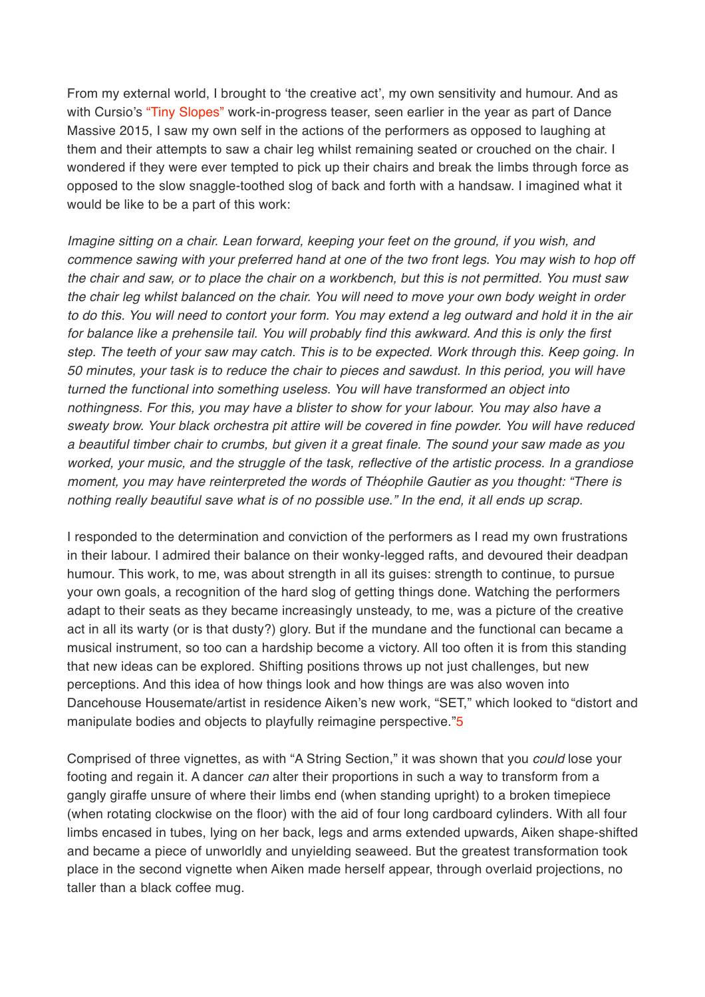From my external world, I brought to 'the creative act', my own sensitivity and humour. And as with Cursio's ["Tiny Slopes"](http://www.fjordreview.com/the-body-politic/) work-in-progress teaser, seen earlier in the year as part of Dance Massive 2015, I saw my own self in the actions of the performers as opposed to laughing at them and their attempts to saw a chair leg whilst remaining seated or crouched on the chair. I wondered if they were ever tempted to pick up their chairs and break the limbs through force as opposed to the slow snaggle-toothed slog of back and forth with a handsaw. I imagined what it would be like to be a part of this work:

*Imagine sitting on a chair. Lean forward, keeping your feet on the ground, if you wish, and commence sawing with your preferred hand at one of the two front legs. You may wish to hop off the chair and saw, or to place the chair on a workbench, but this is not permitted. You must saw the chair leg whilst balanced on the chair. You will need to move your own body weight in order to do this. You will need to contort your form. You may extend a leg outward and hold it in the air for balance like a prehensile tail. You will probably find this awkward. And this is only the first step. The teeth of your saw may catch. This is to be expected. Work through this. Keep going. In 50 minutes, your task is to reduce the chair to pieces and sawdust. In this period, you will have turned the functional into something useless. You will have transformed an object into nothingness. For this, you may have a blister to show for your labour. You may also have a sweaty brow. Your black orchestra pit attire will be covered in fine powder. You will have reduced a beautiful timber chair to crumbs, but given it a great finale. The sound your saw made as you worked, your music, and the struggle of the task, reflective of the artistic process. In a grandiose moment, you may have reinterpreted the words of Théophile Gautier as you thought: "There is nothing really beautiful save what is of no possible use." In the end, it all ends up scrap.*

I responded to the determination and conviction of the performers as I read my own frustrations in their labour. I admired their balance on their wonky-legged rafts, and devoured their deadpan humour. This work, to me, was about strength in all its guises: strength to continue, to pursue your own goals, a recognition of the hard slog of getting things done. Watching the performers adapt to their seats as they became increasingly unsteady, to me, was a picture of the creative act in all its warty (or is that dusty?) glory. But if the mundane and the functional can became a musical instrument, so too can a hardship become a victory. All too often it is from this standing that new ideas can be explored. Shifting positions throws up not just challenges, but new perceptions. And this idea of how things look and how things are was also woven into Dancehouse Housemate/artist in residence Aiken's new work, "SET," which looked to "distort and manipulate bodies and objects to playfully reimagine perspective."5

Comprised of three vignettes, as with "A String Section," it was shown that you *could* lose your footing and regain it. A dancer *can* alter their proportions in such a way to transform from a gangly giraffe unsure of where their limbs end (when standing upright) to a broken timepiece (when rotating clockwise on the floor) with the aid of four long cardboard cylinders. With all four limbs encased in tubes, lying on her back, legs and arms extended upwards, Aiken shape-shifted and became a piece of unworldly and unyielding seaweed. But the greatest transformation took place in the second vignette when Aiken made herself appear, through overlaid projections, no taller than a black coffee mug.